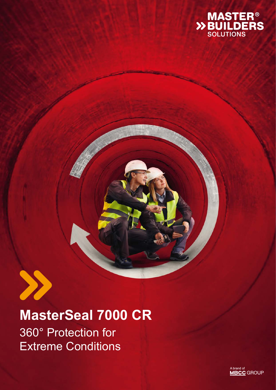



## **MasterSeal 7000 CR** 360° Protection for Extreme Conditions

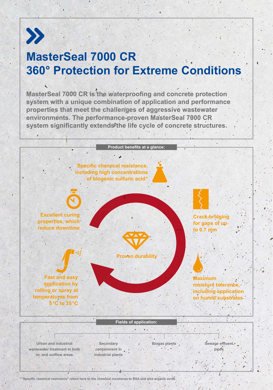

### **MasterSeal 7000 CR 360° Protection for Extreme Conditions**

**MasterSeal 7000 CR is the waterproofing and concrete protection system with a unique combination of application and performance properties that meet the challenges of aggressive wastewater environments. The performance-proven MasterSeal 7000 CR**  system significantly extends<sup>o</sup>the life cycle of concrete structures.

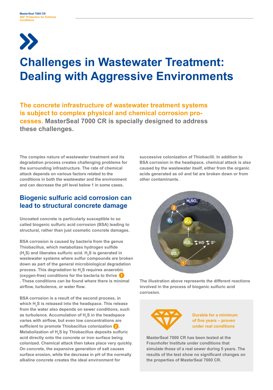# $\sum$

### **Challenges in Wastewater Treatment: Dealing with Aggressive Environments**

**The concrete infrastructure of wastewater treatment systems is subject to complex physical and chemical corrosion processes. MasterSeal 7000 CR is specially designed to address these challenges.**

**The complex nature of wastewater treatment and its degradation process creates challenging problems for the surrounding infrastructure. The rate of chemical attack depends on various factors related to the conditions in both the wastewater and the environment and can decrease the pH level below 1 in some cases.** 

### **Biogenic sulfuric acid corrosion can lead to structural concrete damage**

**Uncoated concrete is particularly susceptible to so called biogenic sulfuric acid corrosion (BSA) leading to structural, rather than just cosmetic concrete damages.**

**BSA corrosion is caused by bacteria from the genus Thiobacillus, which metabolizes hydrogen sulfide**  (H<sub>2</sub>S) and liberates sulfuric acid. H<sub>2</sub>S is generated in **wastewater systems where sulfur compounds are broken down as part of the general microbiological degradation process. This degradation to H2 S requires anaerobic (oxygen-free) conditions for the bacteria to thrive 1 . These conditions can be found where there is minimal airflow, turbulence, or water flow.**

**BSA corrosion is a result of the second process, in which H2 S is released into the headspace. This release from the water also depends on sewer conditions, such as turbulence. Accumulation of H2 S in the headspace varies with airflow, but even low concentrations are sufficient to promote Thiobacillus colonization 2 . Metabolization of H2 S by Thiobacillus deposits sulfuric acid directly onto the concrete or iron surface being colonized. Chemical attack then takes place very quickly. On concrete, the expansive generation of salt causes surface erosion, while the decrease in pH of the normally alkaline concrete creates the ideal environment for** 

**successive colonization of Thiobacilli. In addition to BSA corrosion in the headspace, chemical attack is also caused by the wastewater itself, either from the organic acids generated as oil and fat are broken down or from other contaminants.**



**The illustration above represents the different reactions involved in the process of biogenic sulfuric acid corrosion.**



**Durable for a minimum of five years – proven under real conditions**

**MasterSeal 7000 CR has been tested at the Fraunhofer Institute under conditions that simulate those of a real sewer during 5 years. The results of the test show no significant changes on the properties of MasterSeal 7000 CR.**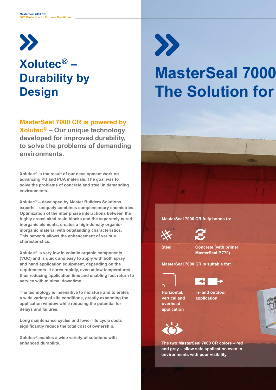

### **Xolutec® – Durability by Design**

**MasterSeal 7000 CR is powered by Xolutec® – Our unique technology developed for improved durability, to solve the problems of demanding environments.** 

**Xolutec® is the result of our development work on advancing PU and PUA materials. The goal was to solve the problems of concrete and steel in demanding environments.** 

**Xolutec® – developed by Master Builders Solutions experts – uniquely combines complementary chemistries. Optimization of the inter phase interactions between the highly crosslinked resin blocks and the separately cured inorganic elements, creates a high-density organicinorganic material with outstanding characteristics. This network allows the enhancement of various characteristics.** 

**Xolutec® is very low in volatile organic components (VOC) and is quick and easy to apply with both spray and hand application equipment, depending on the requirements. It cures rapidly, even at low temperatures thus reducing application time and enabling fast return to service with minimal downtime.** 

**The technology is insensitive to moisture and tolerates a wide variety of site conditions, greatly expanding the application window while reducing the potential for delays and failures.**

**Long maintenance cycles and lower life cycle costs**  significantly reduce the total cost of ownership.

**Xolutec® enables a wide variety of solutions with enhanced durability.** 



# **MasterSeal 7000 The Solution for**







**Steel Concrete (with primer MasterSeal P 770)**

**MasterSeal 7000 CR is suitable for:**





**Horizontal, vertical and overhead application**

**In- and outdoor application**



**The two MasterSeal 7000 CR colors – red and grey – allow safe application even in environments with poor visibility.**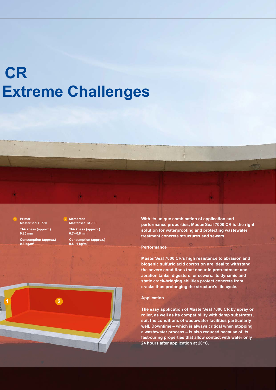## $CR$ **Extreme Challenges**



**Consumption (approx.) 0.3 kg/m2**

**Membrane MasterSeal M 790 Thickness (approx.) 0.7 – 0.8 mm**

**Consumption (approx.) 0.8 – 1 kg/m<sup>2</sup>**

**With its unique combination of application and performance properties, MasterSeal 7000 CR is the right**  solution for waterproofing and protecting wastewater **treatment concrete structures and sewers.**

#### **Performance**

**MasterSeal 7000 CR's high resistance to abrasion and biogenic sulfuric acid corrosion are ideal to withstand the severe conditions that occur in pretreatment and aeration tanks, digesters, or sewers. Its dynamic and static crack-bridging abilities protect concrete from cracks thus prolonging the structure's life cycle.** 

#### **Application**

**The easy application of MasterSeal 7000 CR by spray or roller, as well as its compatibility with damp substrates, suit the conditions of wastewater facilities particularly well. Downtime – which is always critical when stopping a wastewater process – is also reduced because of its fast-curing properties that allow contact with water only 24 hours after application at 20 °C.**

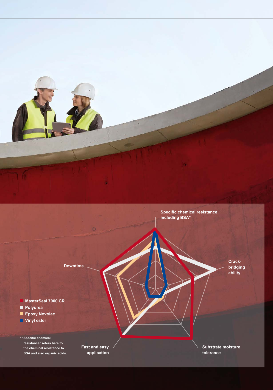

**Downtime**

 **MasterSeal 7000 CR** г  **Polyurea Epoxy Novolac Vinyl ester**

 $*$  "Specific chemical **resistance" refers here to the chemical resistance to BSA and also organic acids.** 

**Fast and easy application** **Crack-**

**bridging ability**

**Substrate moisture tolerance**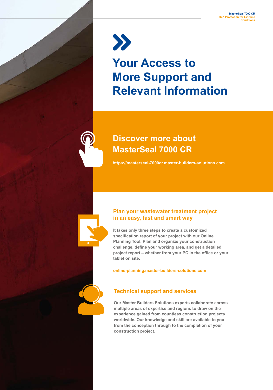$\sum$ **Your Access to More Support and Relevant Information**

**https://masterseal-7000cr.master-builders-solutions.com** 

**Discover more about** 

**MasterSeal 7000 CR**

#### **Plan your wastewater treatment project in an easy, fast and smart way**

**It takes only three steps to create a customized specification report of your project with our Online Planning Tool. Plan and organize your construction challenge, define your working area, and get a detailed project report – whether from your PC in the office or your tablet on site.**

**online-planning.master-builders-solutions.com**

#### **Technical support and services**

**Our Master Builders Solutions experts collaborate across multiple areas of expertise and regions to draw on the experience gained from countless construction projects worldwide. Our knowledge and skill are available to you from the conception through to the completion of your construction project.**